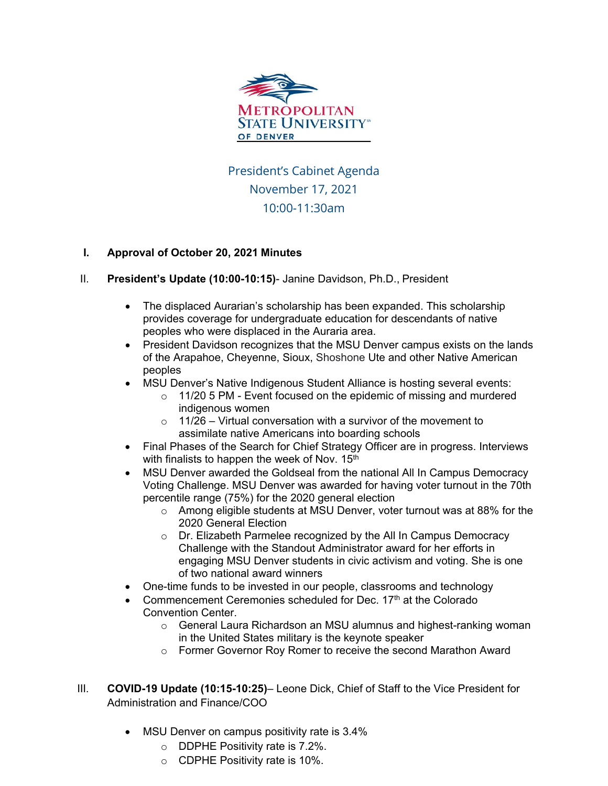

President's Cabinet Agenda November 17, 2021 10:00-11:30am

## **I. Approval of October 20, 2021 Minutes**

- II. **President's Update (10:00-10:15)** Janine Davidson, Ph.D., President
	- The displaced Aurarian's scholarship has been expanded. This scholarship provides coverage for undergraduate education for descendants of native peoples who were displaced in the Auraria area.
	- President Davidson recognizes that the MSU Denver campus exists on the lands of the Arapahoe, Cheyenne, Sioux, Shoshone Ute and other Native American peoples
	- MSU Denver's Native Indigenous Student Alliance is hosting several events:
		- $\circ$  11/20 5 PM Event focused on the epidemic of missing and murdered indigenous women
		- $\circ$  11/26 Virtual conversation with a survivor of the movement to assimilate native Americans into boarding schools
	- Final Phases of the Search for Chief Strategy Officer are in progress. Interviews with finalists to happen the week of Nov. 15<sup>th</sup>
	- MSU Denver awarded the Goldseal from the national All In Campus Democracy Voting Challenge. MSU Denver was awarded for having voter turnout in the 70th percentile range (75%) for the 2020 general election
		- $\circ$  Among eligible students at MSU Denver, voter turnout was at 88% for the 2020 General Election
		- o Dr. Elizabeth Parmelee recognized by the All In Campus Democracy Challenge with the Standout Administrator award for her efforts in engaging MSU Denver students in civic activism and voting. She is one of two national award winners
	- One-time funds to be invested in our people, classrooms and technology
	- Commencement Ceremonies scheduled for Dec. 17<sup>th</sup> at the Colorado Convention Center.
		- $\circ$  General Laura Richardson an MSU alumnus and highest-ranking woman in the United States military is the keynote speaker
		- o Former Governor Roy Romer to receive the second Marathon Award
- III. **COVID-19 Update (10:15-10:25)** Leone Dick, Chief of Staff to the Vice President for Administration and Finance/COO
	- MSU Denver on campus positivity rate is 3.4%
		- o DDPHE Positivity rate is 7.2%.
		- o CDPHE Positivity rate is 10%.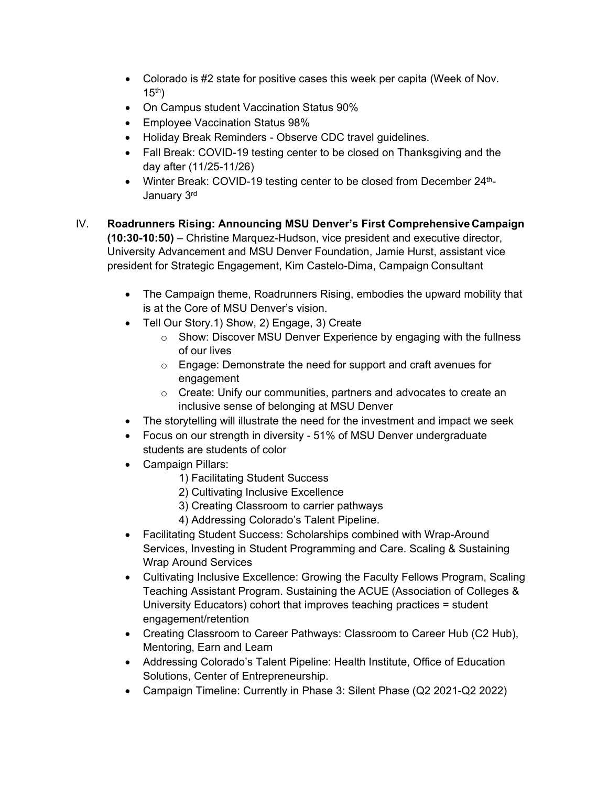- Colorado is #2 state for positive cases this week per capita (Week of Nov.  $15<sup>th</sup>$ )
- On Campus student Vaccination Status 90%
- Employee Vaccination Status 98%
- Holiday Break Reminders Observe CDC travel guidelines.
- Fall Break: COVID-19 testing center to be closed on Thanksgiving and the day after (11/25-11/26)
- Winter Break: COVID-19 testing center to be closed from December 24<sup>th</sup>-January 3rd
- IV. **Roadrunners Rising: Announcing MSU Denver's First Comprehensive Campaign (10:30-10:50)** – Christine Marquez-Hudson, vice president and executive director, University Advancement and MSU Denver Foundation, Jamie Hurst, assistant vice president for Strategic Engagement, Kim Castelo-Dima, Campaign Consultant
	- The Campaign theme, Roadrunners Rising, embodies the upward mobility that is at the Core of MSU Denver's vision.
	- Tell Our Story.1) Show, 2) Engage, 3) Create
		- o Show: Discover MSU Denver Experience by engaging with the fullness of our lives
		- o Engage: Demonstrate the need for support and craft avenues for engagement
		- o Create: Unify our communities, partners and advocates to create an inclusive sense of belonging at MSU Denver
	- The storytelling will illustrate the need for the investment and impact we seek
	- Focus on our strength in diversity 51% of MSU Denver undergraduate students are students of color
	- Campaign Pillars:
		- 1) Facilitating Student Success
		- 2) Cultivating Inclusive Excellence
		- 3) Creating Classroom to carrier pathways
		- 4) Addressing Colorado's Talent Pipeline.
	- Facilitating Student Success: Scholarships combined with Wrap-Around Services, Investing in Student Programming and Care. Scaling & Sustaining Wrap Around Services
	- Cultivating Inclusive Excellence: Growing the Faculty Fellows Program, Scaling Teaching Assistant Program. Sustaining the ACUE (Association of Colleges & University Educators) cohort that improves teaching practices = student engagement/retention
	- Creating Classroom to Career Pathways: Classroom to Career Hub (C2 Hub), Mentoring, Earn and Learn
	- Addressing Colorado's Talent Pipeline: Health Institute, Office of Education Solutions, Center of Entrepreneurship.
	- Campaign Timeline: Currently in Phase 3: Silent Phase (Q2 2021-Q2 2022)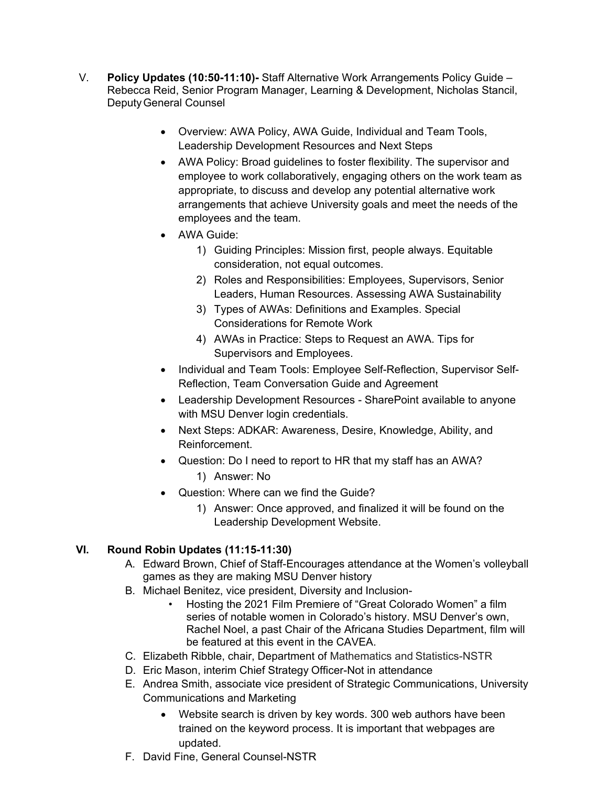- V. **Policy Updates (10:50-11:10)-** Staff Alternative Work Arrangements Policy Guide Rebecca Reid, Senior Program Manager, Learning & Development, Nicholas Stancil, DeputyGeneral Counsel
	- Overview: AWA Policy, AWA Guide, Individual and Team Tools, Leadership Development Resources and Next Steps
	- AWA Policy: Broad guidelines to foster flexibility. The supervisor and employee to work collaboratively, engaging others on the work team as appropriate, to discuss and develop any potential alternative work arrangements that achieve University goals and meet the needs of the employees and the team.
	- AWA Guide:
		- 1) Guiding Principles: Mission first, people always. Equitable consideration, not equal outcomes.
		- 2) Roles and Responsibilities: Employees, Supervisors, Senior Leaders, Human Resources. Assessing AWA Sustainability
		- 3) Types of AWAs: Definitions and Examples. Special Considerations for Remote Work
		- 4) AWAs in Practice: Steps to Request an AWA. Tips for Supervisors and Employees.
	- Individual and Team Tools: Employee Self-Reflection, Supervisor Self-Reflection, Team Conversation Guide and Agreement
	- Leadership Development Resources SharePoint available to anyone with MSU Denver login credentials.
	- Next Steps: ADKAR: Awareness, Desire, Knowledge, Ability, and Reinforcement.
	- Question: Do I need to report to HR that my staff has an AWA? 1) Answer: No
	- Question: Where can we find the Guide?
		- 1) Answer: Once approved, and finalized it will be found on the Leadership Development Website.

## **VI. Round Robin Updates (11:15-11:30)**

- A. Edward Brown, Chief of Staff-Encourages attendance at the Women's volleyball games as they are making MSU Denver history
- B. Michael Benitez, vice president, Diversity and Inclusion-
	- Hosting the 2021 Film Premiere of "Great Colorado Women" a film series of notable women in Colorado's history. MSU Denver's own, Rachel Noel, a past Chair of the Africana Studies Department, film will be featured at this event in the CAVEA.
- C. Elizabeth Ribble, chair, Department of Mathematics and Statistics-NSTR
- D. Eric Mason, interim Chief Strategy Officer-Not in attendance
- E. Andrea Smith, associate vice president of Strategic Communications, University Communications and Marketing
	- Website search is driven by key words. 300 web authors have been trained on the keyword process. It is important that webpages are updated.
- F. David Fine, General Counsel-NSTR